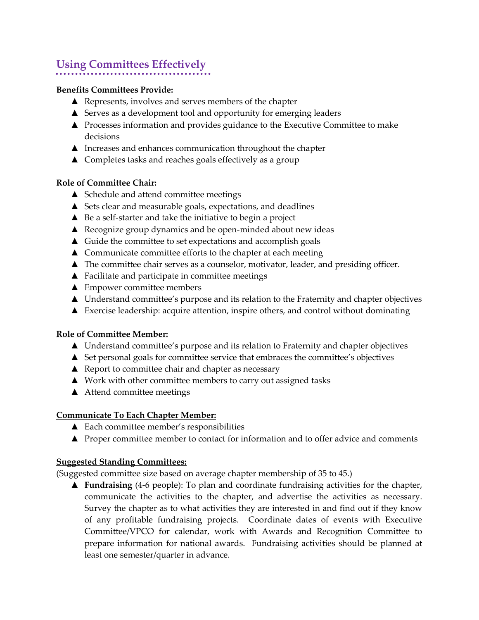# **Using Committees Effectively**

### **Benefits Committees Provide:**

- ▲ Represents, involves and serves members of the chapter
- ▲ Serves as a development tool and opportunity for emerging leaders
- ▲ Processes information and provides guidance to the Executive Committee to make decisions
- ▲ Increases and enhances communication throughout the chapter
- ▲ Completes tasks and reaches goals effectively as a group

## **Role of Committee Chair:**

- ▲ Schedule and attend committee meetings
- ▲ Sets clear and measurable goals, expectations, and deadlines
- ▲ Be a self-starter and take the initiative to begin a project
- ▲ Recognize group dynamics and be open-minded about new ideas
- ▲ Guide the committee to set expectations and accomplish goals
- ▲ Communicate committee efforts to the chapter at each meeting
- ▲ The committee chair serves as a counselor, motivator, leader, and presiding officer.
- ▲ Facilitate and participate in committee meetings
- ▲ Empower committee members
- ▲ Understand committee's purpose and its relation to the Fraternity and chapter objectives
- ▲ Exercise leadership: acquire attention, inspire others, and control without dominating

#### **Role of Committee Member:**

- ▲ Understand committee's purpose and its relation to Fraternity and chapter objectives
- ▲ Set personal goals for committee service that embraces the committee's objectives
- $\triangle$  Report to committee chair and chapter as necessary
- ▲ Work with other committee members to carry out assigned tasks
- ▲ Attend committee meetings

#### **Communicate To Each Chapter Member:**

- ▲ Each committee member's responsibilities
- ▲ Proper committee member to contact for information and to offer advice and comments

#### **Suggested Standing Committees:**

(Suggested committee size based on average chapter membership of 35 to 45.)

▲ **Fundraising** (4-6 people): To plan and coordinate fundraising activities for the chapter, communicate the activities to the chapter, and advertise the activities as necessary. Survey the chapter as to what activities they are interested in and find out if they know of any profitable fundraising projects. Coordinate dates of events with Executive Committee/VPCO for calendar, work with Awards and Recognition Committee to prepare information for national awards. Fundraising activities should be planned at least one semester/quarter in advance.